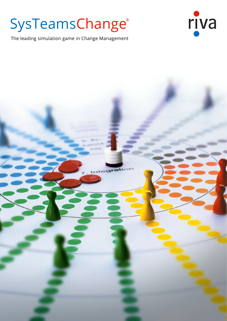# SysTeamsChange®

The leading simulation game in Change Management

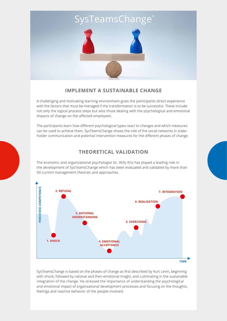## SysTeamsChange®



## **IMPLEMENT A SUSTAINABLE CHANGE**

A challenging and motivating learning environment gives the participants direct experience with the factors that must be managed if the transformation is to be successful. These include not only the logical process steps but also those dealing with the psychological and emotional impacts of change on the affected employees.

The participants learn how different psychological types react to changes and which measures can be used to achieve them. SysTeamsChange shows the role of the social networks in stakeholder communication and potential intervention measures for the different phases of change.

## **THEORETICAL VALIDATION**

The economic and organizational psychologist Dr. Willy Kriz has played a leading role in the development of SysTeamsChange which has been evaluated and validated by more than 50 current management theories and approaches.



SysTeamsChange is based on the phases of change as first described by Kurt Levin, beginning with shock, followed by rational and then emotional insight, and culminating in the sustainable integration of the change. He stressed the importance of understanding the psychological and emotional impact of organizational development processes and focusing on the thoughts, feelings and reactive behavior of the people involved.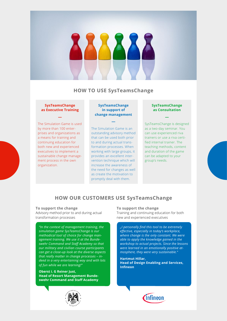## **HOW TO USE SysTeamsChange**

#### **SysTeamsChange as Executive Training**

**―**

The Simulation Game is used by more than 100 enterprises and organizations as a means for training and continuing education for both new and experienced executives to implement a sustainable change management process in the own organization.

#### **SysTeamsChange in support of change management**

**—**

The Simulation Game is an outstanding advisory method that can be used both prior to and during actual transformation processes. When working with large groups, it provides an excellent intervention technique which will increase the awareness of the need for changes as well as create the motivation to promptly deal with them.

#### **SysTeamsChange as Consultation**

**—**

SysTeamsChange is designed as a two-day seminar. You can use experienced riva trainers or use a riva certified internal trainer. The teaching methods, content and duration of the game can be adapted to your group's needs.

## **HOW OUR CUSTOMERS USE SysTeamsChange**

#### **To support the change**

Advisory method prior to and during actual transformation processes

*"In the context of management training, the simulation game SysTeamsChange is our methodical tool of choice for change management training. We use it at the Bundeswehr Command and Staff Academy so that our military and civilian course participants can get a close-up look at the diverse aspects that really matter in change processes – indeed in a very entertaining way and with lots of fun while we are learning!"* 

#### **Oberst i. G Reiner Just, Head of Resort Management Bundeswehr Command and Staff Academy**



#### **To support the change**

Training and continuing education for both new and experienced executives

*"I personally find this tool to be extremely effective, especially in today's workplace, where change is the only constant. We were able to apply the knowledge gained in the workshop to actual projects. Since the lessons were learned in an emotionally positive atmosphere, they were very sustainable."*

**Hartmut Hillar, Head of Design Enabling and Services, Infineon**

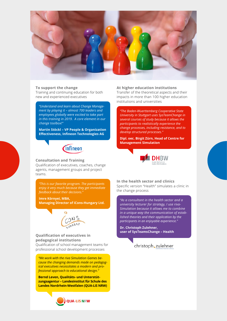

#### **To support the change**

Training and continuing education for both new and experienced executives

*"Understand and learn about Change Management by playing it – almost 700 leaders and employees globally were excited to take part in this training in 2019. A core element in our change toolbox!"*

**Martin Stöckl – VP People & Organization Effectiveness, Infineon Technologies AG**



#### **Consultation and Training** Qualification of executives, coaches, change agents, management groups and project teams.

*"This is our favorite program. The participants enjoy it very much because they get immediate feedback about their decisions."*

**Imre Környei, MBA,** 

**Managing Director of iCons-Hungary Ltd.**



#### **Qualification of executives in pedagogical institutions**

Qualification of school management teams for professional school development processes

*"We work with the riva Simulation Games because the changing demands made on pedagogical executives necessitates a modern and professional approach to educational design."*

**Bernd Leven, Qualitäts- und Unterstützungsagentur – Landesinstitut für Schule des Landes Nordrhein-Westfalen (QUA-LiS NRW)**



**At higher education institutions**

Transfer of the theoretical aspects and their impacts in more than 100 higher education institutions and universities

*"The Baden-Wuerttemberg Cooperative State University in Stuttgart uses SysTeamChange in several courses of study because it allows the participants to realistically experience the change processes, including resistance, and to develop structured processes."*

**Dipl. oec. Birgit Zürn, Head of Centre for Management Simulation**



**In the health sector and clinics** Specific version "Health" simulates a clinic in the change process

*"As a consultant in the health sector and a university lecturer for strategy, I use riva-Simulation because it allows me to combine in a unique way the communication of established theories and their application by the participants in an enjoyable experience."*

**Dr. Christoph Zulehner, user of SysTeamsChange – Health** 

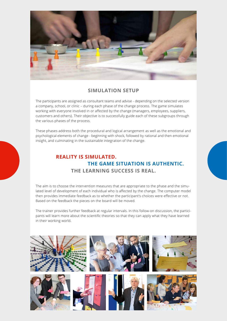

### **SIMULATION SETUP**

The participants are assigned as consultant teams and advise - depending on the selected version a company, school, or clinic – during each phase of the change process. The game simulates working with everyone involved in or affected by the change (managers, employees, suppliers, customers and others). Their objective is to successfully guide each of these subgroups through the various phases of the process.

These phases address both the procedural and logical arrangement as well as the emotional and psychological elements of change - beginning with shock, followed by rational and then emotional insight, and culminating in the sustainable integration of the change.

## **REALITY IS SIMULATED. THE GAME SITUATION IS AUTHENTIC. THE LEARNING SUCCESS IS REAL.**

The aim is to choose the intervention measures that are appropriate to the phase and the simulated level of development of each individual who is affected by the change. The computer model then provides immediate feedback as to whether the participant's choices were effective or not. Based on the feedback the pieces on the board will be moved.

The trainer provides further feedback at regular intervals. In this follow-on discussion, the participants will learn more about the scientific theories so that they can apply what they have learned in their working world.